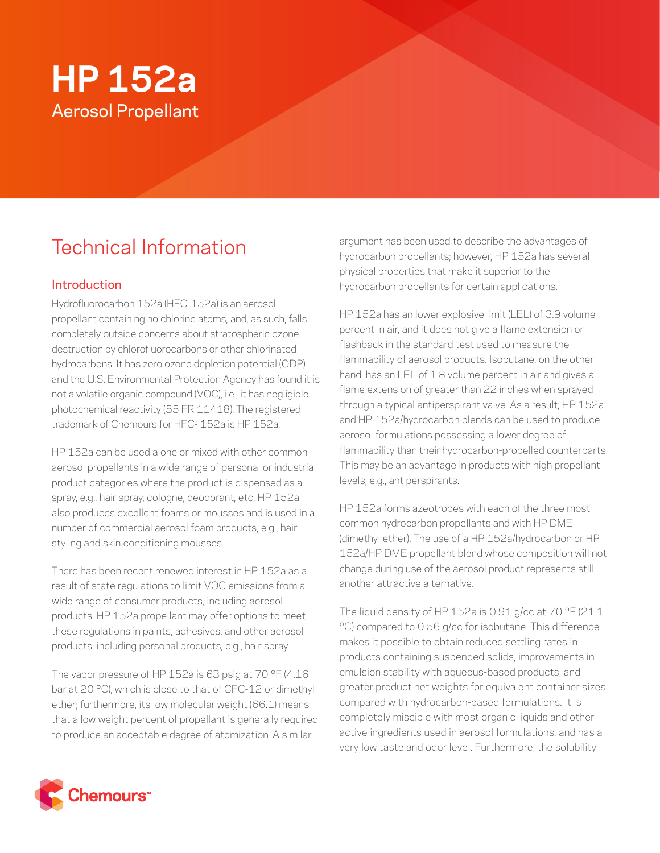# **HP 152a** Aerosol Propellant

## Technical Information

## Introduction

Hydrofluorocarbon 152a (HFC-152a) is an aerosol propellant containing no chlorine atoms, and, as such, falls completely outside concerns about stratospheric ozone destruction by chlorofluorocarbons or other chlorinated hydrocarbons. It has zero ozone depletion potential (ODP), and the U.S. Environmental Protection Agency has found it is not a volatile organic compound (VOC), i.e., it has negligible photochemical reactivity (55 FR 11418). The registered trademark of Chemours for HFC- 152a is HP 152a.

HP 152a can be used alone or mixed with other common aerosol propellants in a wide range of personal or industrial product categories where the product is dispensed as a spray, e.g., hair spray, cologne, deodorant, etc. HP 152a also produces excellent foams or mousses and is used in a number of commercial aerosol foam products, e.g., hair styling and skin conditioning mousses.

There has been recent renewed interest in HP 152a as a result of state regulations to limit VOC emissions from a wide range of consumer products, including aerosol products. HP 152a propellant may offer options to meet these regulations in paints, adhesives, and other aerosol products, including personal products, e.g., hair spray.

The vapor pressure of HP 152a is 63 psig at 70 °F (4.16 bar at 20 °C), which is close to that of CFC-12 or dimethyl ether; furthermore, its low molecular weight (66.1) means that a low weight percent of propellant is generally required to produce an acceptable degree of atomization. A similar

argument has been used to describe the advantages of hydrocarbon propellants; however, HP 152a has several physical properties that make it superior to the hydrocarbon propellants for certain applications.

HP 152a has an lower explosive limit (LEL) of 3.9 volume percent in air, and it does not give a flame extension or flashback in the standard test used to measure the flammability of aerosol products. Isobutane, on the other hand, has an LEL of 1.8 volume percent in air and gives a flame extension of greater than 22 inches when sprayed through a typical antiperspirant valve. As a result, HP 152a and HP 152a/hydrocarbon blends can be used to produce aerosol formulations possessing a lower degree of flammability than their hydrocarbon-propelled counterparts. This may be an advantage in products with high propellant levels, e.g., antiperspirants.

HP 152a forms azeotropes with each of the three most common hydrocarbon propellants and with HP DME (dimethyl ether). The use of a HP 152a/hydrocarbon or HP 152a/HP DME propellant blend whose composition will not change during use of the aerosol product represents still another attractive alternative.

The liquid density of HP 152a is 0.91 g/cc at 70  $\degree$ F (21.1) °C) compared to 0.56 g/cc for isobutane. This difference makes it possible to obtain reduced settling rates in products containing suspended solids, improvements in emulsion stability with aqueous-based products, and greater product net weights for equivalent container sizes compared with hydrocarbon-based formulations. It is completely miscible with most organic liquids and other active ingredients used in aerosol formulations, and has a very low taste and odor level. Furthermore, the solubility

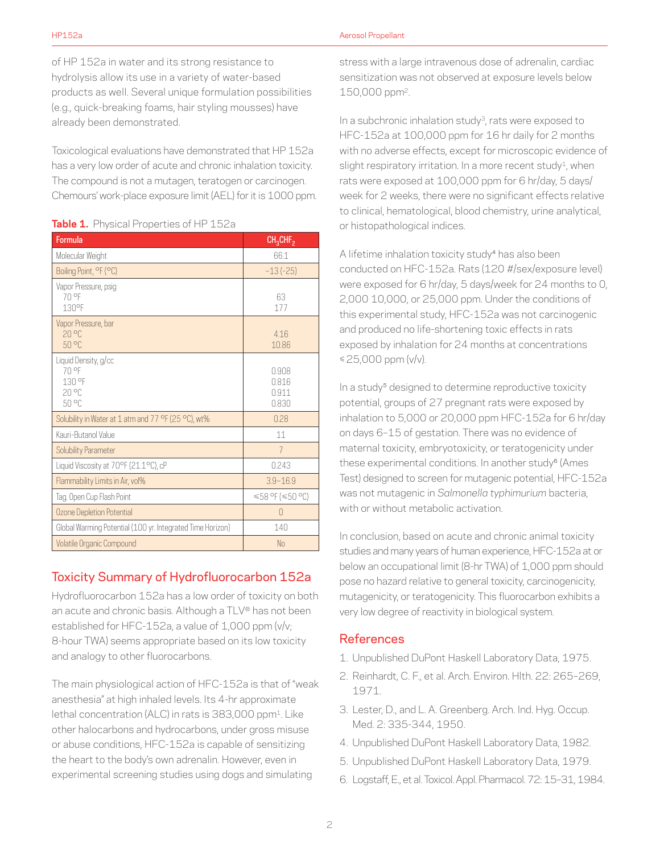of HP 152a in water and its strong resistance to hydrolysis allow its use in a variety of water-based products as well. Several unique formulation possibilities (e.g., quick-breaking foams, hair styling mousses) have already been demonstrated.

Toxicological evaluations have demonstrated that HP 152a has a very low order of acute and chronic inhalation toxicity. The compound is not a mutagen, teratogen or carcinogen. Chemours' work-place exposure limit (AEL) for it is 1000 ppm.

| Table 1. Physical Properties of HP 152a |  |
|-----------------------------------------|--|
|-----------------------------------------|--|

| <b>Formula</b>                                             | CH <sub>3</sub> CHF <sub>2</sub> |
|------------------------------------------------------------|----------------------------------|
| Molecular Weight                                           | 66.1                             |
| Boiling Point, °F (°C)                                     | $-13(-25)$                       |
| Vapor Pressure, psig<br>70 °F<br>130°F                     | 63<br>177                        |
| Vapor Pressure, bar<br>$20^{\circ}$<br>50°C                | 4.16<br>10.86                    |
| Liquid Density, g/cc<br>70 °F<br>130 °F<br>20 °C<br>50 °C  | 0.908<br>0.816<br>0.911<br>0.830 |
| Solubility in Water at 1 atm and 77 °F (25 °C), wt%        | 0.28                             |
| Kauri-Butanol Value                                        | 11                               |
| Solubility Parameter                                       | $\overline{7}$                   |
| Liquid Viscosity at 70°F (21.1°C), cP                      | 0.243                            |
| Flammability Limits in Air, vol%                           | $3.9 - 16.9$                     |
| Tag. Open Cup Flash Point                                  | $\leq 58$ °F ( $\leq 50$ °C)     |
| Ozone Depletion Potential                                  | $\bigcap$                        |
| Global Warming Potential (100 yr. Integrated Time Horizon) | 140                              |
| Volatile Organic Compound                                  | N <sub>0</sub>                   |

## Toxicity Summary of Hydrofluorocarbon 152a

Hydrofluorocarbon 152a has a low order of toxicity on both an acute and chronic basis. Although a TLV® has not been established for HFC-152a, a value of 1,000 ppm (v/v; 8-hour TWA) seems appropriate based on its low toxicity and analogy to other fluorocarbons.

The main physiological action of HFC-152a is that of "weak anesthesia" at high inhaled levels. Its 4-hr approximate lethal concentration (ALC) in rats is 383,000 ppm<sup>1</sup>. Like other halocarbons and hydrocarbons, under gross misuse or abuse conditions, HFC-152a is capable of sensitizing the heart to the body's own adrenalin. However, even in experimental screening studies using dogs and simulating

stress with a large intravenous dose of adrenalin, cardiac sensitization was not observed at exposure levels below 150,000 ppm2.

In a subchronic inhalation study<sup>3</sup>, rats were exposed to HFC-152a at 100,000 ppm for 16 hr daily for 2 months with no adverse effects, except for microscopic evidence of slight respiratory irritation. In a more recent study<sup>1</sup>, when rats were exposed at 100,000 ppm for 6 hr/day, 5 days/ week for 2 weeks, there were no significant effects relative to clinical, hematological, blood chemistry, urine analytical, or histopathological indices.

A lifetime inhalation toxicity study<sup>4</sup> has also been conducted on HFC-152a. Rats (120 #/sex/exposure level) were exposed for 6 hr/day, 5 days/week for 24 months to 0, 2,000 10,000, or 25,000 ppm. Under the conditions of this experimental study, HFC-152a was not carcinogenic and produced no life-shortening toxic effects in rats exposed by inhalation for 24 months at concentrations ≤25,000 ppm (v/v).

In a study<sup>5</sup> designed to determine reproductive toxicity potential, groups of 27 pregnant rats were exposed by inhalation to 5,000 or 20,000 ppm HFC-152a for 6 hr/day on days 6–15 of gestation. There was no evidence of maternal toxicity, embryotoxicity, or teratogenicity under these experimental conditions. In another study<sup>6</sup> (Ames Test) designed to screen for mutagenic potential, HFC-152a was not mutagenic in *Salmonella typhimurium* bacteria, with or without metabolic activation.

In conclusion, based on acute and chronic animal toxicity studies and many years of human experience, HFC-152a at or below an occupational limit (8-hr TWA) of 1,000 ppm should pose no hazard relative to general toxicity, carcinogenicity, mutagenicity, or teratogenicity. This fluorocarbon exhibits a very low degree of reactivity in biological system.

## References

- 1. Unpublished DuPont Haskell Laboratory Data, 1975.
- 2. Reinhardt, C. F., et al. Arch. Environ. Hlth. 22: 265–269, 1971.
- 3. Lester, D., and L. A. Greenberg. Arch. Ind. Hyg. Occup. Med. 2: 335-344, 1950.
- 4. Unpublished DuPont Haskell Laboratory Data, 1982.
- 5. Unpublished DuPont Haskell Laboratory Data, 1979.
- 6. Logstaff, E., et al. Toxicol. Appl. Pharmacol. 72: 15–31, 1984.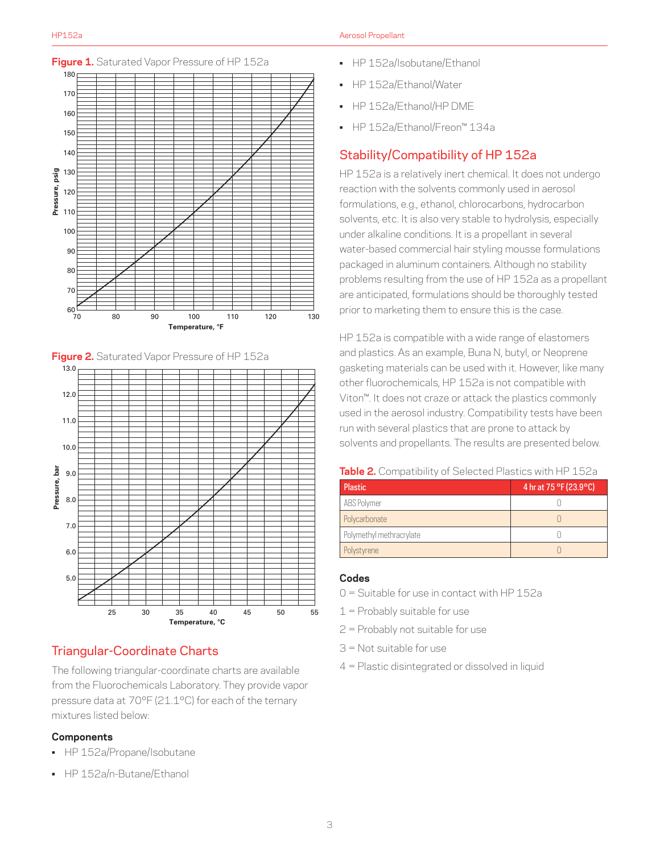



## Triangular-Coordinate Charts

The following triangular-coordinate charts are available from the Fluorochemicals Laboratory. They provide vapor pressure data at 70°F (21.1°C) for each of the ternary mixtures listed below:

## **Components**

- HP 152a/Propane/Isobutane
- HP 152a/n-Butane/Ethanol

#### HP152a Aerosol Propellant

- HP 152a/Isobutane/Ethanol
- HP 152a/Ethanol/Water
- HP 152a/Ethanol/HP DME
- HP 152a/Ethanol/Freon™ 134a

## Stability/Compatibility of HP 152a

HP 152a is a relatively inert chemical. It does not undergo reaction with the solvents commonly used in aerosol formulations, e.g., ethanol, chlorocarbons, hydrocarbon solvents, etc. It is also very stable to hydrolysis, especially under alkaline conditions. It is a propellant in several water-based commercial hair styling mousse formulations packaged in aluminum containers. Although no stability problems resulting from the use of HP 152a as a propellant are anticipated, formulations should be thoroughly tested prior to marketing them to ensure this is the case.

HP 152a is compatible with a wide range of elastomers and plastics. As an example, Buna N, butyl, or Neoprene gasketing materials can be used with it. However, like many other fluorochemicals, HP 152a is not compatible with Viton™. It does not craze or attack the plastics commonly used in the aerosol industry. Compatibility tests have been run with several plastics that are prone to attack by solvents and propellants. The results are presented below.

#### **Table 2.** Compatibility of Selected Plastics with HP 152a

| <b>Plastic</b>           | 4 hr at 75 °F (23.9°C) |
|--------------------------|------------------------|
| ABS Polymer              |                        |
| Polycarbonate            |                        |
| Polymethyl methracrylate |                        |
| Polystyrene              |                        |

## **Codes**

- 0 = Suitable for use in contact with HP 152a
- $1$  = Probably suitable for use
- 2 = Probably not suitable for use
- 3 = Not suitable for use
- 4 = Plastic disintegrated or dissolved in liquid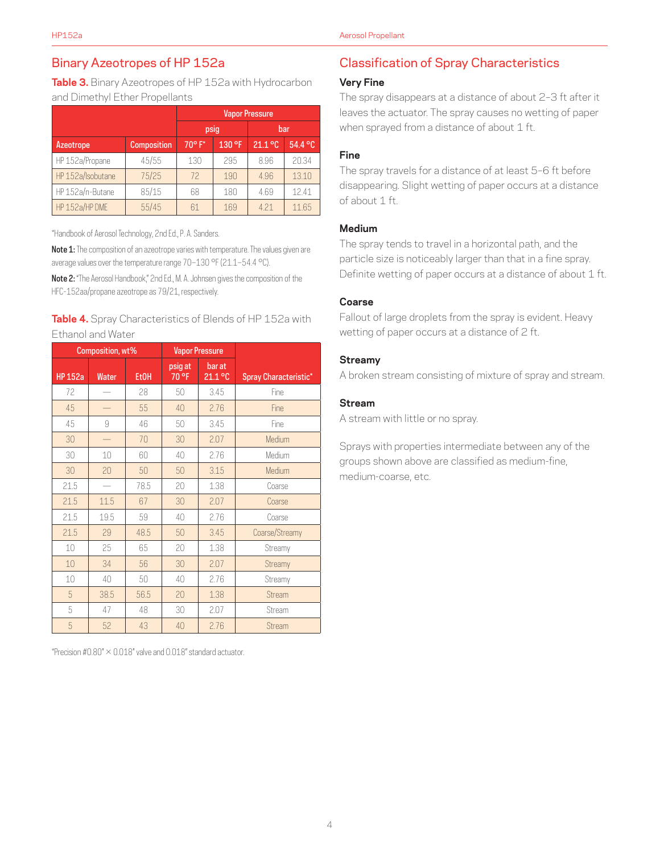## Binary Azeotropes of HP 152a

**Table 3.** Binary Azeotropes of HP 152a with Hydrocarbon and Dimethyl Ether Propellants

|                   |                    | <b>Vapor Pressure</b> |        |         |         |
|-------------------|--------------------|-----------------------|--------|---------|---------|
|                   |                    | psig                  |        | bar     |         |
| <b>Azeotrope</b>  | <b>Composition</b> | 70° F*                | 130 °F | 21.1 °C | 54.4 °C |
| HP 152a/Propane   | 45/55              | 130                   | 295    | 8.96    | 20.34   |
| HP 152a/Isobutane | 75/25              | 72                    | 190    | 4.96    | 13.10   |
| HP 152a/n-Butane  | 85/15              | 68                    | 180    | 4.69    | 1241    |
| HP 152a/HP DME    | 55/45              | 61                    | 169    | 421     | 11.65   |

\*Handbook of Aerosol Technology, 2nd Ed., P. A. Sanders.

Note 1: The composition of an azeotrope varies with temperature. The values given are average values over the temperature range 70-130 °F (21.1-54.4 °C).

Note 2: "The Aerosol Handbook," 2nd Ed., M. A. Johnsen gives the composition of the HFC-152aa/propane azeotrope as 79/21, respectively.

## **Table 4.** Spray Characteristics of Blends of HP 152a with Ethanol and Water

|                | Composition, wt% |                   | <b>Vapor Pressure</b> |                   |                       |
|----------------|------------------|-------------------|-----------------------|-------------------|-----------------------|
| <b>HP 152a</b> | <b>Water</b>     | Et <sub>0</sub> H | psig at<br>70 °F      | bar at<br>21.1 °C | Spray Characteristic* |
| 72             |                  | 28                | 50                    | 3.45              | Fine                  |
| 45             |                  | 55                | 40                    | 2.76              | Fine                  |
| 45             | 9                | 46                | 50                    | 3.45              | Fine                  |
| 30             |                  | 70                | 30                    | 2.07              | Medium                |
| 30             | 10               | 60                | 40                    | 2.76              | Medium                |
| 30             | 20               | 50                | 50                    | 3.15              | Medium                |
| 21.5           |                  | 78.5              | 20                    | 1.38              | Coarse                |
| 21.5           | 11.5             | 67                | 30                    | 2.07              | Coarse                |
| 21.5           | 19.5             | 59                | 40                    | 2.76              | Coarse                |
| 21.5           | 29               | 48.5              | 50                    | 3.45              | Coarse/Streamy        |
| 10             | 25               | 65                | 20                    | 1.38              | Streamy               |
| 10             | 34               | 56                | 30                    | 2.07              | Streamy               |
| 10             | 40               | 50                | 40                    | 2.76              | Streamy               |
| 5              | 38.5             | 56.5              | 20                    | 1.38              | <b>Stream</b>         |
| 5              | 47               | 48                | 30                    | 2.07              | Stream                |
| 5              | 52               | 43                | 40                    | 2.76              | Stream                |

\*Precision  $#0.80" \times 0.018"$  valve and  $0.018"$  standard actuator.

## Classification of Spray Characteristics

#### **Very Fine**

The spray disappears at a distance of about 2–3 ft after it leaves the actuator. The spray causes no wetting of paper when sprayed from a distance of about 1 ft.

#### **Fine**

The spray travels for a distance of at least 5–6 ft before disappearing. Slight wetting of paper occurs at a distance of about 1 ft.

## **Medium**

The spray tends to travel in a horizontal path, and the particle size is noticeably larger than that in a fine spray. Definite wetting of paper occurs at a distance of about 1 ft.

## **Coarse**

Fallout of large droplets from the spray is evident. Heavy wetting of paper occurs at a distance of 2 ft.

## **Streamy**

A broken stream consisting of mixture of spray and stream.

#### **Stream**

A stream with little or no spray.

Sprays with properties intermediate between any of the groups shown above are classified as medium-fine, medium-coarse, etc.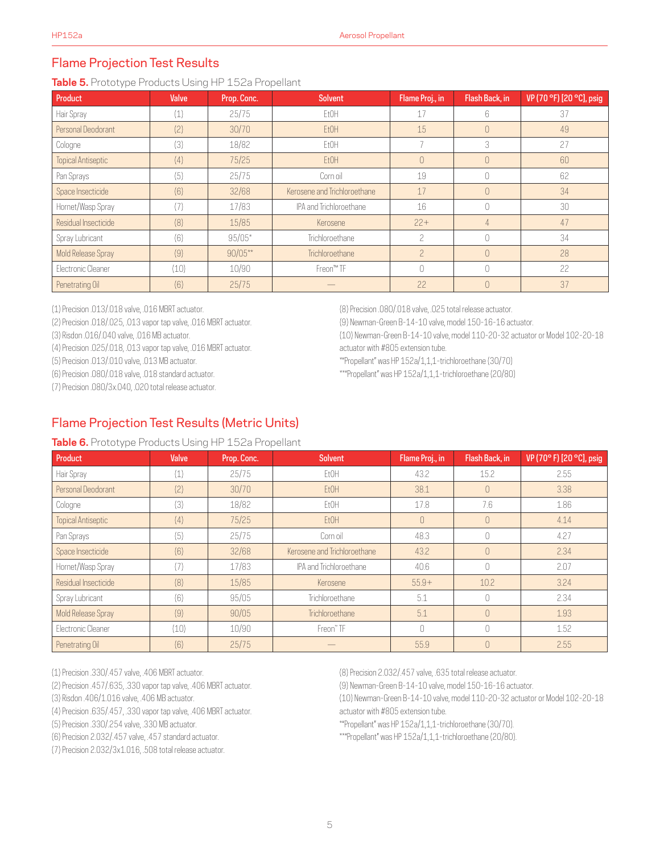## Flame Projection Test Results

**Table 5.** Prototype Products Using HP 152a Propellant

| Product                   | Valve | Prop. Conc. | <b>Solvent</b>               | Flame Proj., in          | Flash Back, in | VP (70 °F) [20 °C], psig |
|---------------------------|-------|-------------|------------------------------|--------------------------|----------------|--------------------------|
| Hair Spray                | (1)   | 25/75       | Et0H                         | 17                       | 6              | 37                       |
| Personal Deodorant        | (2)   | 30/70       | Et0H                         | 15                       | $\overline{0}$ | 49                       |
| Cologne                   | (3)   | 18/82       | Et0H                         |                          | 3              | 27                       |
| <b>Topical Antiseptic</b> | (4)   | 75/25       | Et0H                         | $\bigcap$                | $\bigcap$      | 60                       |
| Pan Sprays                | (5)   | 25/75       | Corn oil                     | 19                       |                | 62                       |
| Space Insecticide         | (6)   | 32/68       | Kerosene and Trichloroethane | 17                       |                | 34                       |
| Hornet/Wasp Spray         | (7)   | 17/83       | IPA and Trichloroethane      | 16                       |                | 30                       |
| Residual Insecticide      | (8)   | 15/85       | Kerosene                     | $22+$                    | $\overline{4}$ | 47                       |
| Spray Lubricant           | (6)   | $95/05*$    | Trichloroethane              | $\overline{\phantom{a}}$ | $\bigcap$      | 34                       |
| Mold Release Spray        | (9)   | 90/05**     | Trichloroethane              | $\overline{a}$           | $\bigcap$      | 28                       |
| Electronic Cleaner        | (10)  | 10/90       | Freon™ TF                    | $\bigcap$                | 0              | 22                       |
| Penetrating Oil           | (6)   | 25/75       |                              | 22                       | $\overline{0}$ | 37                       |

(1) Precision .013/.018 valve, .016 MBRT actuator.

(2) Precision .018/.025, .013 vapor tap valve, .016 MBRT actuator.

(3) Risdon .016/.040 valve, .016 MB actuator.

(4) Precision .025/.018, .013 vapor tap valve, .016 MBRT actuator.

(5) Precision .013/.010 valve, .013 MB actuator.

(6) Precision .080/.018 valve, .018 standard actuator.

(7) Precision .080/3x.040, .020 total release actuator.

(8) Precision .080/.018 valve, .025 total release actuator.

(9) Newman-Green B-14-10 valve, model 150-16-16 actuator.

(10) Newman-Green B-14-10 valve, model 110-20-32 actuator or Model 102-20-18 actuator with #805 extension tube.

\*"Propellant" was HP 152a/1,1,1-trichloroethane (30/70)

\*\*"Propellant" was HP 152a/1,1,1-trichloroethane (20/80)

## Flame Projection Test Results (Metric Units)

#### **Table 6.** Prototype Products Using HP 152a Propellant

| Product                   | Valve | Prop. Conc. | <b>Solvent</b>               | Flame Proj., in | Flash Back, in | VP (70°F) [20 °C], psig |
|---------------------------|-------|-------------|------------------------------|-----------------|----------------|-------------------------|
| Hair Spray                | (1)   | 25/75       | Et0H                         | 43.2            | 15.2           | 2.55                    |
| Personal Deodorant        | (2)   | 30/70       | Et0H                         | 38.1            | $\theta$       | 3.38                    |
| Cologne                   | (3)   | 18/82       | F <sub>t</sub> OH            | 17.8            | 76             | 1.86                    |
| <b>Topical Antiseptic</b> | (4)   | 75/25       | Et0H                         | $\bigcap$       | $\Omega$       | 4.14                    |
| Pan Sprays                | (5)   | 25/75       | Corn oil                     | 48.3            | $\bigcap$      | 4.27                    |
| Space Insecticide         | (6)   | 32/68       | Kerosene and Trichloroethane | 43.2            | $\overline{0}$ | 2.34                    |
| Hornet/Wasp Spray         | (7)   | 17/83       | IPA and Trichloroethane      | 40.6            | $\bigcap$      | 2.07                    |
| Residual Insecticide      | (8)   | 15/85       | Kerosene                     | $55.9+$         | 10.2           | 3.24                    |
| Spray Lubricant           | (6)   | 95/05       | Trichloroethane              | 5.1             | $\bigcap$      | 2.34                    |
| Mold Release Spray        | (9)   | 90/05       | Trichloroethane              | 5.1             | $\overline{0}$ | 1.93                    |
| Electronic Cleaner        | (10)  | 10/90       | Freon" TF                    | $\bigcap$       | $\bigcap$      | 1.52                    |
| Penetrating Oil           | (6)   | 25/75       |                              | 55.9            | $\Omega$       | 2.55                    |

(1) Precision .330/.457 valve, .406 MBRT actuator.

(2) Precision .457/.635, .330 vapor tap valve, .406 MBRT actuator.

(3) Risdon .406/1.016 valve, .406 MB actuator.

(4) Precision .635/.457, .330 vapor tap valve, .406 MBRT actuator.

(5) Precision .330/.254 valve, .330 MB actuator.

(6) Precision 2.032/.457 valve, .457 standard actuator.

(7) Precision 2.032/3x1.016, .508 total release actuator.

(8) Precision 2.032/.457 valve, .635 total release actuator.

(9) Newman-Green B-14-10 valve, model 150-16-16 actuator.

(10) Newman-Green B-14-10 valve, model 110-20-32 actuator or Model 102-20-18 actuator with #805 extension tube.

\*"Propellant" was HP 152a/1,1,1-trichloroethane (30/70).

\*\*"Propellant" was HP 152a/1,1,1-trichloroethane (20/80).